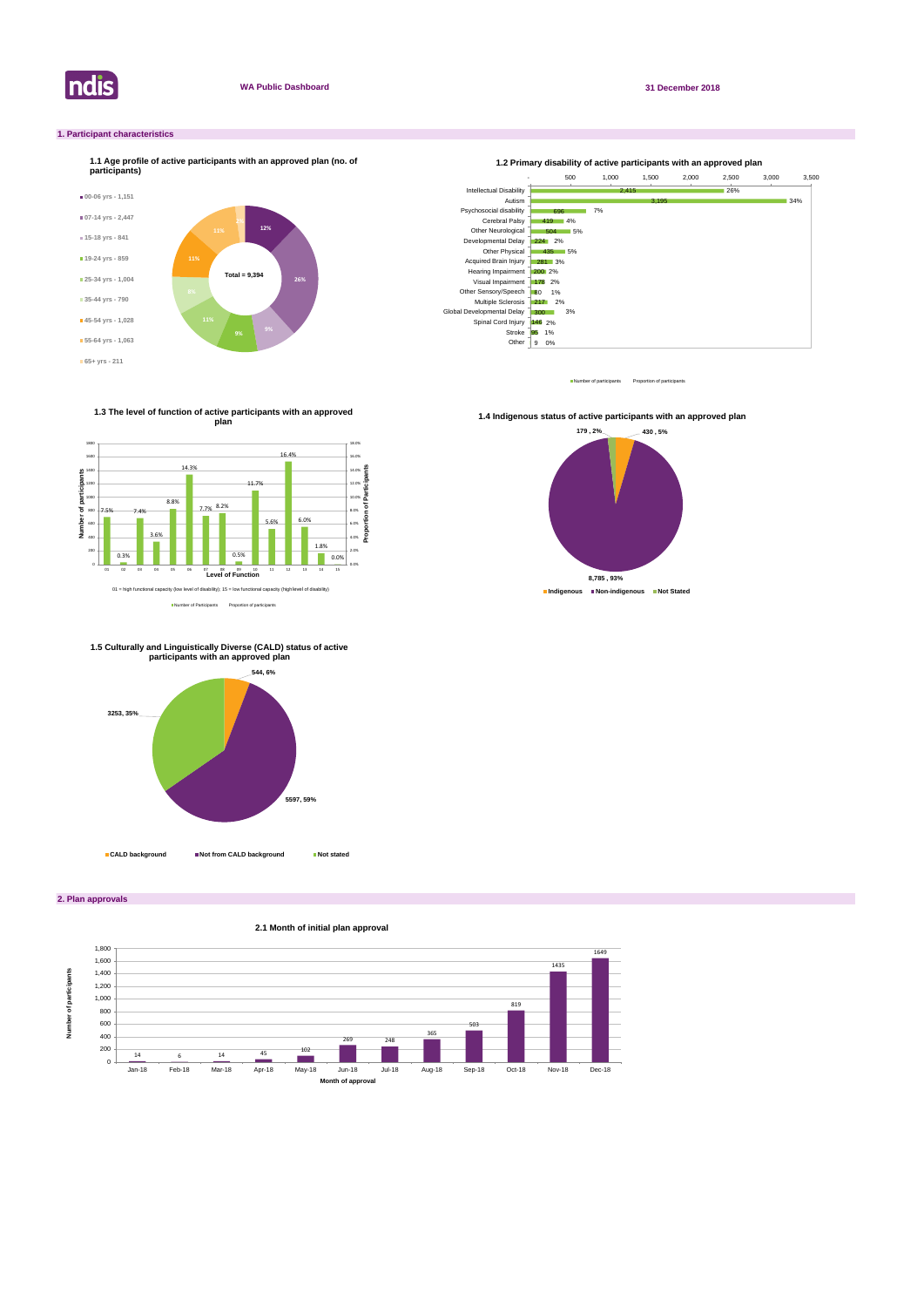

#### **WA Public Dashboard 31 December 2018**

**2. Plan approvals**

### **1. Participant characteristics**



Number of participants Proportion of participant



### **2.1 Month of initial plan approval**

Number of Participants Proportion of participants

**1.3 The level of function of active participants with an approved plan**



**1.4 Indigenous status of active participants with an approved plan** 







**CALD background Not from CALD background Not stated**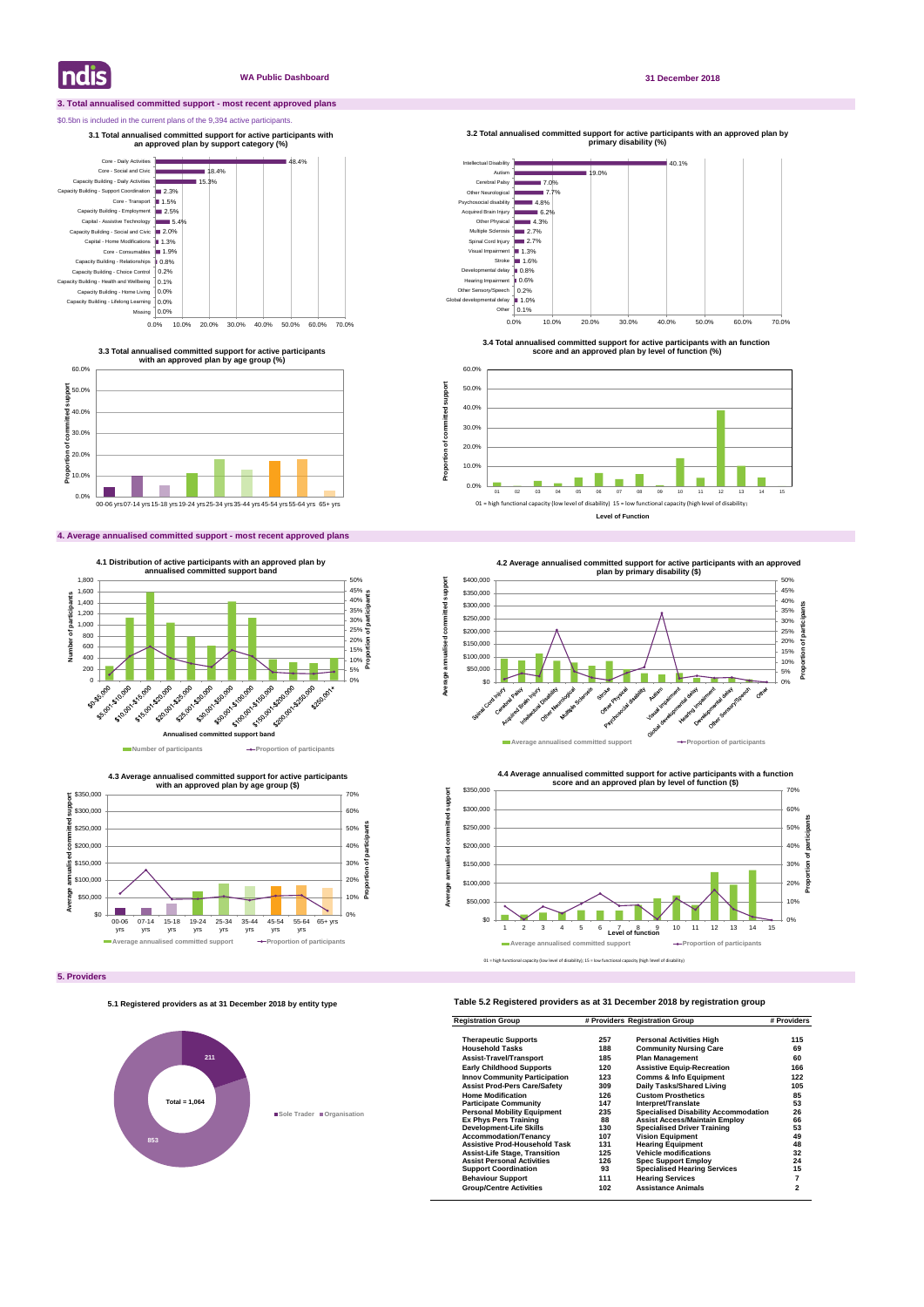#### **3. Total annualised committed support - most recent approved plans**

#### \$0.5bn is included in the current plans of the 9,394 active participants.

### **4. Average annualised committed support - most recent approved plans**

### **Table 5.2 Registered providers as at 31 December 2018 by registration group**

| <b>Registration Group</b>            | # Providers Registration Group |                                             | # Providers |
|--------------------------------------|--------------------------------|---------------------------------------------|-------------|
| <b>Therapeutic Supports</b>          | 257                            | <b>Personal Activities High</b>             | 115         |
| <b>Household Tasks</b>               | 188                            | <b>Community Nursing Care</b>               | 69          |
| <b>Assist-Travel/Transport</b>       | 185                            | <b>Plan Management</b>                      | 60          |
| <b>Early Childhood Supports</b>      | 120                            | <b>Assistive Equip-Recreation</b>           | 166         |
| <b>Innov Community Participation</b> | 123                            | <b>Comms &amp; Info Equipment</b>           | 122         |
| <b>Assist Prod-Pers Care/Safety</b>  | 309                            | Daily Tasks/Shared Living                   | 105         |
| <b>Home Modification</b>             | 126                            | <b>Custom Prosthetics</b>                   | 85          |
| <b>Participate Community</b>         | 147                            | Interpret/Translate                         | 53          |
| <b>Personal Mobility Equipment</b>   | 235                            | <b>Specialised Disability Accommodation</b> | 26          |
| <b>Ex Phys Pers Training</b>         | 88                             | <b>Assist Access/Maintain Employ</b>        | 66          |
| Development-Life Skills              | 130                            | <b>Specialised Driver Training</b>          | 53          |
| <b>Accommodation/Tenancy</b>         | 107                            | <b>Vision Equipment</b>                     | 49          |
| <b>Assistive Prod-Household Task</b> | 131                            | <b>Hearing Equipment</b>                    | 48          |
| <b>Assist-Life Stage, Transition</b> | 125                            | <b>Vehicle modifications</b>                | 32          |
| <b>Assist Personal Activities</b>    | 126                            | <b>Spec Support Employ</b>                  | 24          |
| <b>Support Coordination</b>          | 93                             | <b>Specialised Hearing Services</b>         | 15          |
| <b>Behaviour Support</b>             | 111                            | <b>Hearing Services</b>                     | 7           |
| <b>Group/Centre Activities</b>       | 102                            | <b>Assistance Animals</b>                   | 2           |

**Indis** 

#### **WA Public Dashboard 31 December 2018**







**3.3 Total annualised committed support for active participants with an approved plan by age group (%)**

**3.1 Total annualised committed support for active participants with an approved plan by support category (%)** 



**3.4 Total annualised committed support for active participants with an function score and an approved plan by level of function (%)**

**3.2 Total annualised committed support for active participants with an approved plan by primary disability (%)** 

**Proportion of committed support**

Proportion of committed

support



#### **5.1 Registered providers as at 31 December 2018 by entity type**

# **211 853 Sole Trader Organisation Total = 1,064**

01 = high functional capacity (low level of disability); 15 = low functional capacity (high level of disability)



**Level of Function**





**Average annualised committed support**

annualised

Average a

ā

imitted support

**<sup>4.2</sup> Average annualised committed support for active participants with an approved**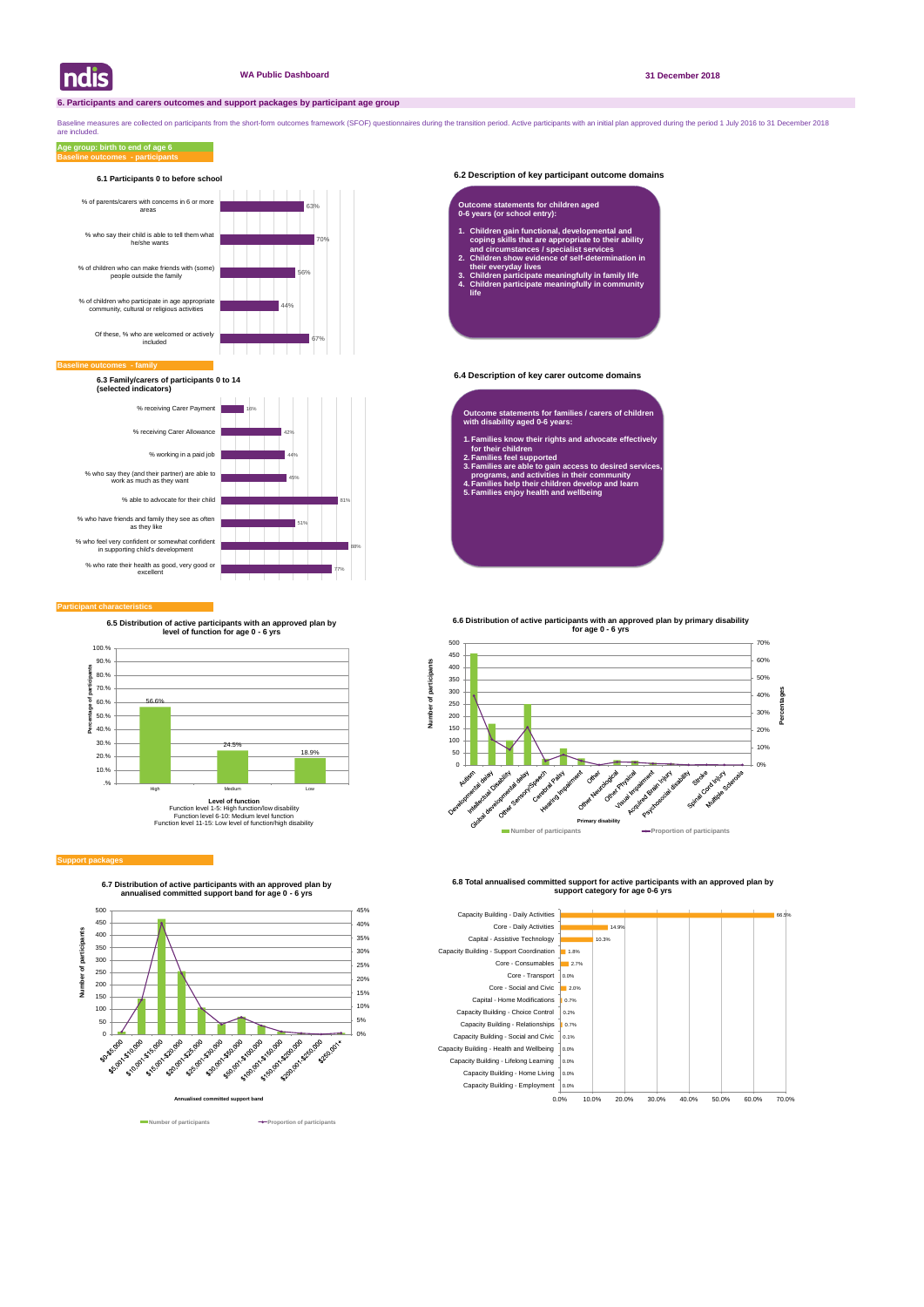#### **6.2 Description of key participant outcome domains**

#### **6.4 Description of key carer outcome domains**

#### **Participant characteristics**

Baseline measures are collected on participants from the short-form outcomes framework (SFOF) questionnaires during the transition period. Active participants with an initial plan approved during the period 1 July 2016 to are included.

#### **Support packages**

#### **Baseline outcomes - participants Age group: birth to end of age 6**

![](_page_2_Picture_0.jpeg)

![](_page_2_Figure_16.jpeg)

**6.7 Distribution of active participants with an approved plan by annualised committed support band for age 0 - 6 yrs**

![](_page_2_Figure_34.jpeg)

![](_page_2_Figure_31.jpeg)

![](_page_2_Figure_33.jpeg)

**6.8 Total annualised committed support for active participants with an approved plan by support category for age 0-6 yrs** 

![](_page_2_Figure_7.jpeg)

#### **Baseline of**

![](_page_2_Figure_10.jpeg)

#### **6.1 Participants 0 to before school**

**6.3 Family/carers of participants 0 to 14 (selected indicators)**

- **Outcome statements for families / carers of children with disability aged 0-6 years:**
- **1. Families know their rights and advocate effectively for their children**
- **2. Families feel supported**
- **3. Families are able to gain access to desired services, programs, and activities in their community**
- **4. Families help their children develop and learn 5. Families enjoy health and wellbeing**

#### **Outcome statements for children aged 0-6 years (or school entry):**

- **1. Children gain functional, developmental and coping skills that are appropriate to their ability and circumstances / specialist services**
- **2. Children show evidence of self-determination in their everyday lives**
- **3. Children participate meaningfully in family life 4. Children participate meaningfully in community life**

![](_page_2_Figure_13.jpeg)

**6.5 Distribution of active participants with an approved plan by level of function for age 0 - 6 yrs**

**6.6 Distribution of active participants with an approved plan by primary disability** 

![](_page_2_Figure_29.jpeg)

![](_page_2_Figure_28.jpeg)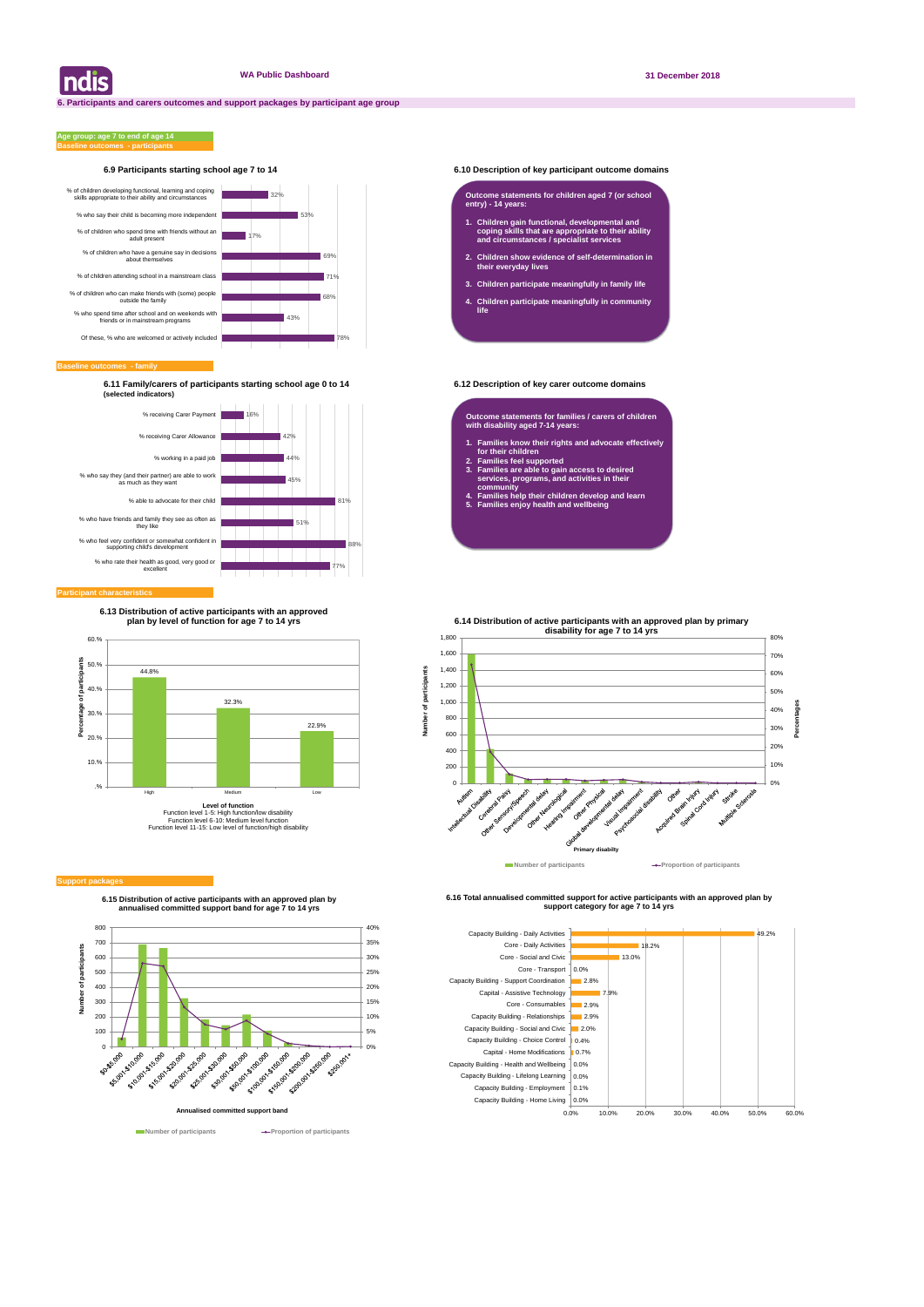#### **6.9 Participants starting school age 7 to 14 6.10 Description of key participant outcome domains**

#### **Baseline outcomes - family**

#### **Baseline outcomes - participants Age group: age 7 to end of age 14**

**6.11 Family/carers of participants starting school age 0 to 14 6.12 Description of key carer outcome domains (selected indicators)**

| ndis

![](_page_3_Figure_15.jpeg)

**6.15 Distribution of active participants with an approved plan by annualised committed support band for age 7 to 14 yrs**

![](_page_3_Figure_32.jpeg)

**Number of participants Proportion of participants** 

**6.16 Total annualised committed support for active participants with an approved plan by support category for age 7 to 14 yrs** 

![](_page_3_Figure_6.jpeg)

![](_page_3_Figure_9.jpeg)

#### **Participant characteristic**

#### **Outcome statements for children aged 7 (or school entry) - 14 years:**

- **1. Children gain functional, developmental and coping skills that are appropriate to their ability and circumstances / specialist services**
- **2. Children show evidence of self-determination in their everyday lives**
- **3. Children participate meaningfully in family life**
- **4. Children participate meaningfully in community life**

**Outcome statements for families / carers of children with disability aged 7-14 years:**

- **1. Families know their rights and advocate effectively for their children**
- **2. Families feel supported**

쑽

 $\bar{\sigma}$ 

Number

- **3. Families are able to gain access to desired services, programs, and activities in their community**
- **4. Families help their children develop and learn**
- **5. Families enjoy health and wellbeing**

![](_page_3_Figure_12.jpeg)

#### **Support packa**

**6.13 Distribution of active participants with an approved plan by level of function for age 7 to 14 yrs**

**6.14 Distribution of active participants with an approved plan by primary** 

![](_page_3_Figure_29.jpeg)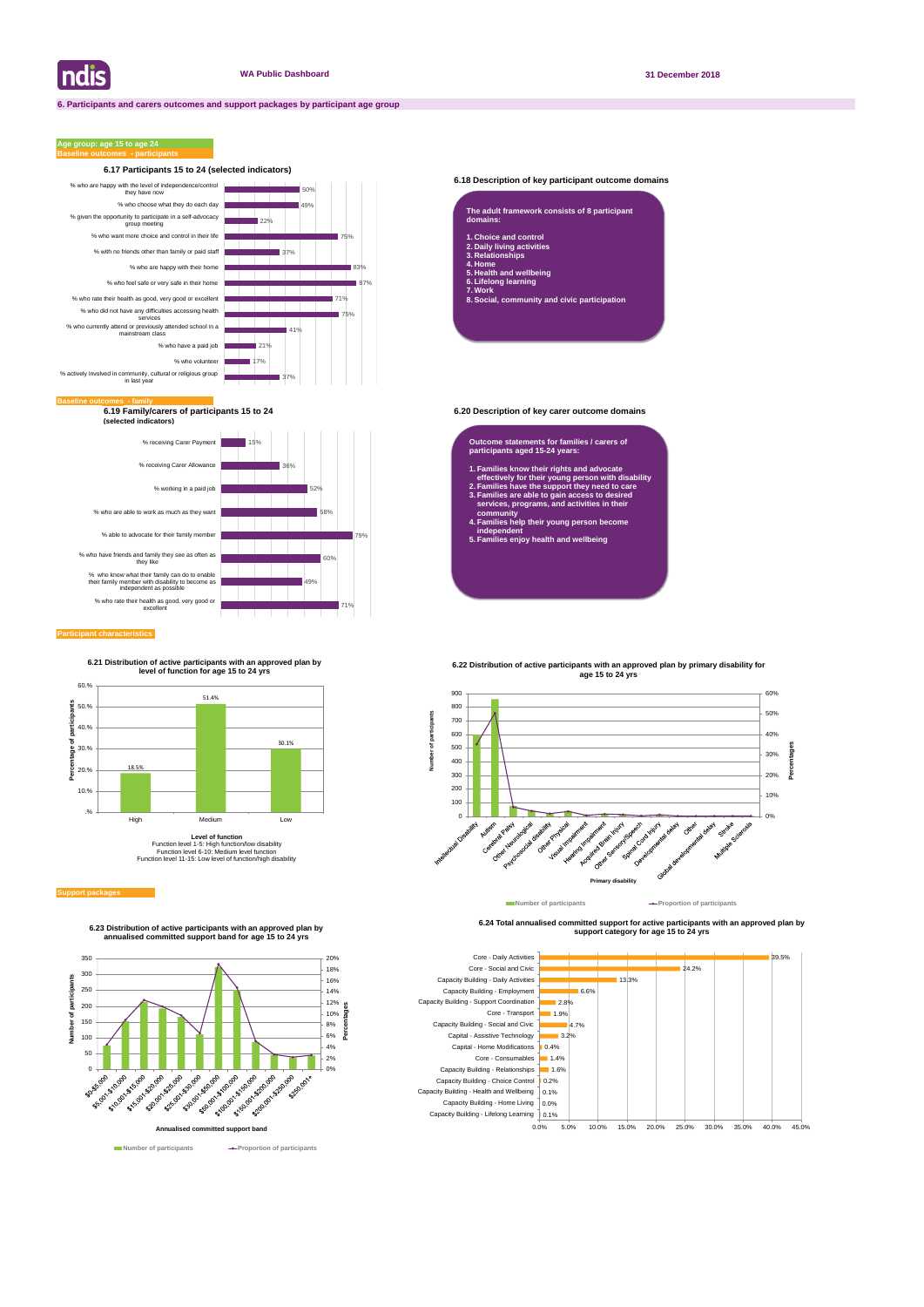#### **6.18 Description of key participant outcome domains**

**6.19 Family/carers of participants 15 to 24 6.20 Description of key carer outcome domains (selected indicators)**

#### **Participant characteristics**

### **Age group: age 15 to age 24**

![](_page_4_Figure_28.jpeg)

**6.24 Total annualised committed support for active participants with an approved plan by support category for age 15 to 24 yrs** 

![](_page_4_Figure_7.jpeg)

![](_page_4_Figure_5.jpeg)

| The adult framework consists of 8 participant<br>domains:                                                                                        |
|--------------------------------------------------------------------------------------------------------------------------------------------------|
| 1. Choice and control<br>2. Daily living activities<br>3. Relationships<br>4. Home<br>5. Health and wellbeing<br>6. Lifelong learning<br>7. Work |

**8. Social, community and civic participation**

#### **Outcome statements for families / carers of participants aged 15-24 years:**

- **1. Families know their rights and advocate effectively for their young person with disability**
- **2. Families have the support they need to care 3. Families are able to gain access to desired services, programs, and activities in their**
- **community 4. Families help their young person become independent**
- **5. Families enjoy health and wellbeing**

![](_page_4_Figure_14.jpeg)

![](_page_4_Figure_30.jpeg)

**6.23 Distribution of active participants with an approved plan by annualised committed support band for age 15 to 24 yrs**

**6.21 Distribution of active participants with an approved plan by level of function for age 15 to 24 yrs**

![](_page_4_Figure_10.jpeg)

Function level 1-5: High function/low disability Function level 6-10: Medium level function Function level 11-15: Low level of function/high disability

#### **Support package**

![](_page_4_Figure_24.jpeg)

# **6.22 Distribution of active participants with an approved plan by primary disability for**

## **age 15 to 24 yrs**

**Number of participants Proportion of participants**